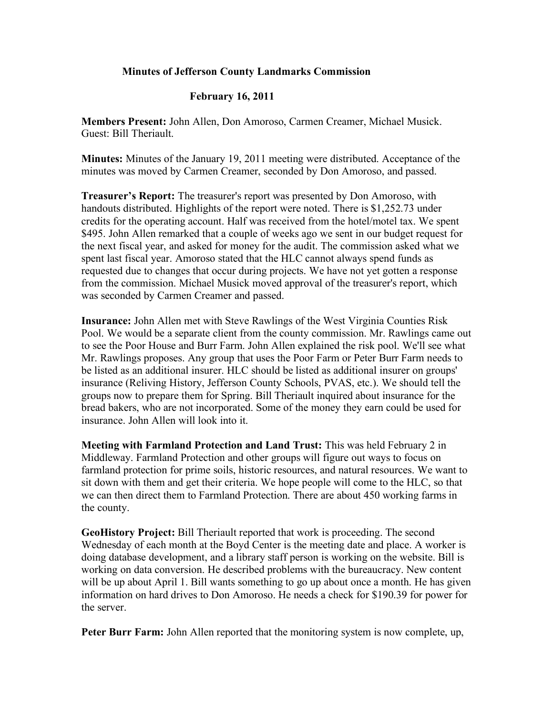## **Minutes of Jefferson County Landmarks Commission**

## **February 16, 2011**

**Members Present:** John Allen, Don Amoroso, Carmen Creamer, Michael Musick. Guest: Bill Theriault.

**Minutes:** Minutes of the January 19, 2011 meeting were distributed. Acceptance of the minutes was moved by Carmen Creamer, seconded by Don Amoroso, and passed.

**Treasurer's Report:** The treasurer's report was presented by Don Amoroso, with handouts distributed. Highlights of the report were noted. There is \$1,252.73 under credits for the operating account. Half was received from the hotel/motel tax. We spent \$495. John Allen remarked that a couple of weeks ago we sent in our budget request for the next fiscal year, and asked for money for the audit. The commission asked what we spent last fiscal year. Amoroso stated that the HLC cannot always spend funds as requested due to changes that occur during projects. We have not yet gotten a response from the commission. Michael Musick moved approval of the treasurer's report, which was seconded by Carmen Creamer and passed.

**Insurance:** John Allen met with Steve Rawlings of the West Virginia Counties Risk Pool. We would be a separate client from the county commission. Mr. Rawlings came out to see the Poor House and Burr Farm. John Allen explained the risk pool. We'll see what Mr. Rawlings proposes. Any group that uses the Poor Farm or Peter Burr Farm needs to be listed as an additional insurer. HLC should be listed as additional insurer on groups' insurance (Reliving History, Jefferson County Schools, PVAS, etc.). We should tell the groups now to prepare them for Spring. Bill Theriault inquired about insurance for the bread bakers, who are not incorporated. Some of the money they earn could be used for insurance. John Allen will look into it.

**Meeting with Farmland Protection and Land Trust:** This was held February 2 in Middleway. Farmland Protection and other groups will figure out ways to focus on farmland protection for prime soils, historic resources, and natural resources. We want to sit down with them and get their criteria. We hope people will come to the HLC, so that we can then direct them to Farmland Protection. There are about 450 working farms in the county.

**GeoHistory Project:** Bill Theriault reported that work is proceeding. The second Wednesday of each month at the Boyd Center is the meeting date and place. A worker is doing database development, and a library staff person is working on the website. Bill is working on data conversion. He described problems with the bureaucracy. New content will be up about April 1. Bill wants something to go up about once a month. He has given information on hard drives to Don Amoroso. He needs a check for \$190.39 for power for the server.

**Peter Burr Farm:** John Allen reported that the monitoring system is now complete, up,